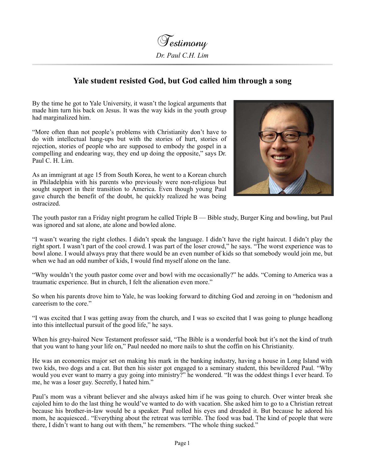

## **Yale student resisted God, but God called him through a song**

By the time he got to Yale University, it wasn't the logical arguments that made him turn his back on Jesus. It was the way kids in the youth group had marginalized him.

"More often than not people's problems with Christianity don't have to do with intellectual hang-ups but with the stories of hurt, stories of rejection, stories of people who are supposed to embody the gospel in a compelling and endearing way, they end up doing the opposite," says Dr. Paul C. H. Lim.

As an immigrant at age 15 from South Korea, he went to a Korean church in Philadelphia with his parents who previously were non-religious but sought support in their transition to America. Even though young Paul gave church the benefit of the doubt, he quickly realized he was being ostracized.



The youth pastor ran a Friday night program he called Triple B — Bible study, Burger King and bowling, but Paul was ignored and sat alone, ate alone and bowled alone.

"I wasn't wearing the right clothes. I didn't speak the language. I didn't have the right haircut. I didn't play the right sport. I wasn't part of the cool crowd. I was part of the loser crowd," he says. "The worst experience was to bowl alone. I would always pray that there would be an even number of kids so that somebody would join me, but when we had an odd number of kids, I would find myself alone on the lane.

"Why wouldn't the youth pastor come over and bowl with me occasionally?" he adds. "Coming to America was a traumatic experience. But in church, I felt the alienation even more."

So when his parents drove him to Yale, he was looking forward to ditching God and zeroing in on "hedonism and careerism to the core."

"I was excited that I was getting away from the church, and I was so excited that I was going to plunge headlong into this intellectual pursuit of the good life," he says.

When his grey-haired New Testament professor said, "The Bible is a wonderful book but it's not the kind of truth that you want to hang your life on," Paul needed no more nails to shut the coffin on his Christianity.

He was an economics major set on making his mark in the banking industry, having a house in Long Island with two kids, two dogs and a cat. But then his sister got engaged to a seminary student, this bewildered Paul. "Why would you ever want to marry a guy going into ministry?" he wondered. "It was the oddest things I ever heard. To me, he was a loser guy. Secretly, I hated him."

Paul's mom was a vibrant believer and she always asked him if he was going to church. Over winter break she cajoled him to do the last thing he would've wanted to do with vacation. She asked him to go to a Christian retreat because his brother-in-law would be a speaker. Paul rolled his eyes and dreaded it. But because he adored his mom, he acquiesced.. "Everything about the retreat was terrible. The food was bad. The kind of people that were there, I didn't want to hang out with them," he remembers. "The whole thing sucked."